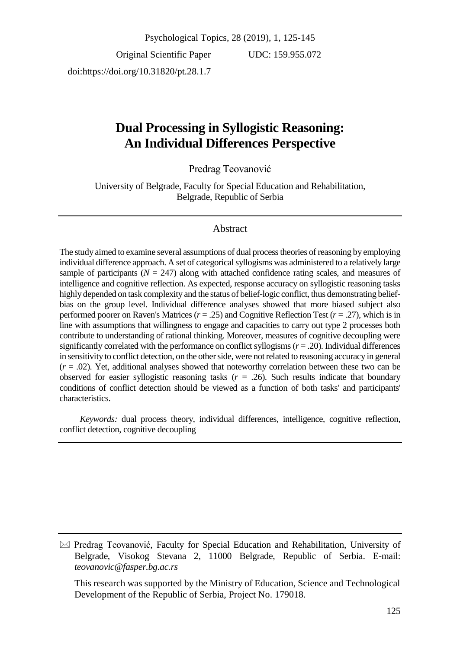Original Scientific Paper doi:https://doi.org/10.31820/pt.28.1.7

UDC: 159.955.072

# **Dual Processing in Syllogistic Reasoning: An Individual Differences Perspective**

Predrag Teovanović

University of Belgrade, Faculty for Special Education and Rehabilitation, Belgrade, Republic of Serbia

# Abstract

The study aimed to examine several assumptions of dual process theories of reasoning by employing individual difference approach. A set of categorical syllogisms was administered to a relatively large sample of participants  $(N = 247)$  along with attached confidence rating scales, and measures of intelligence and cognitive reflection. As expected, response accuracy on syllogistic reasoning tasks highly depended on task complexity and the status of belief-logic conflict, thus demonstrating beliefbias on the group level. Individual difference analyses showed that more biased subject also performed poorer on Raven's Matrices (*r* = .25) and Cognitive Reflection Test (*r* = .27), which is in line with assumptions that willingness to engage and capacities to carry out type 2 processes both contribute to understanding of rational thinking. Moreover, measures of cognitive decoupling were significantly correlated with the performance on conflict syllogisms (*r* = .20). Individual differences in sensitivity to conflict detection, on the other side, were not related to reasoning accuracy in general  $(r = .02)$ . Yet, additional analyses showed that noteworthy correlation between these two can be observed for easier syllogistic reasoning tasks  $(r = .26)$ . Such results indicate that boundary conditions of conflict detection should be viewed as a function of both tasks' and participants' characteristics.

*Keywords:* dual process theory, individual differences, intelligence, cognitive reflection, conflict detection, cognitive decoupling

 $\boxtimes$  Predrag Teovanović, Faculty for Special Education and Rehabilitation, University of Belgrade, Visokog Stevana 2, 11000 Belgrade, Republic of Serbia. E-mail: *teovanovic@fasper.bg.ac.rs*

This research was supported by the Ministry of Education, Science and Technological Development of the Republic of Serbia, Project No. 179018.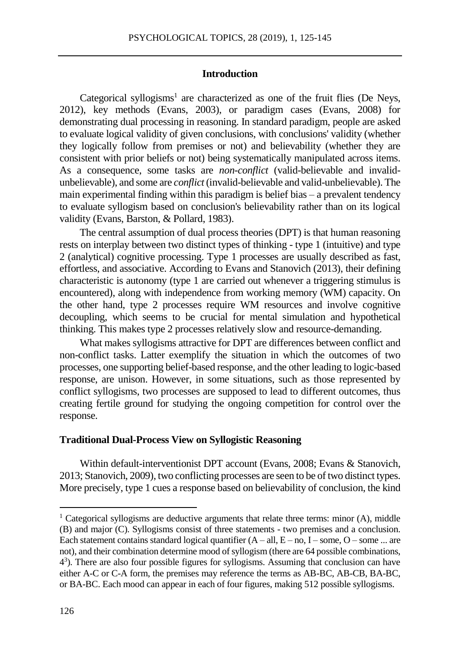### **Introduction**

Categorical syllogisms<sup>1</sup> are characterized as one of the fruit flies (De Neys, 2012), key methods (Evans, 2003), or paradigm cases (Evans, 2008) for demonstrating dual processing in reasoning. In standard paradigm, people are asked to evaluate logical validity of given conclusions, with conclusions' validity (whether they logically follow from premises or not) and believability (whether they are consistent with prior beliefs or not) being systematically manipulated across items. As a consequence, some tasks are *non-conflict* (valid-believable and invalidunbelievable), and some are *conflict* (invalid-believable and valid-unbelievable). The main experimental finding within this paradigm is belief bias – a prevalent tendency to evaluate syllogism based on conclusion's believability rather than on its logical validity (Evans, Barston, & Pollard, 1983).

The central assumption of dual process theories (DPT) is that human reasoning rests on interplay between two distinct types of thinking - type 1 (intuitive) and type 2 (analytical) cognitive processing. Type 1 processes are usually described as fast, effortless, and associative. According to Evans and Stanovich (2013), their defining characteristic is autonomy (type 1 are carried out whenever a triggering stimulus is encountered), along with independence from working memory (WM) capacity. On the other hand, type 2 processes require WM resources and involve cognitive decoupling, which seems to be crucial for mental simulation and hypothetical thinking. This makes type 2 processes relatively slow and resource-demanding.

What makes syllogisms attractive for DPT are differences between conflict and non-conflict tasks. Latter exemplify the situation in which the outcomes of two processes, one supporting belief-based response, and the other leading to logic-based response, are unison. However, in some situations, such as those represented by conflict syllogisms, two processes are supposed to lead to different outcomes, thus creating fertile ground for studying the ongoing competition for control over the response.

### **Traditional Dual-Process View on Syllogistic Reasoning**

Within default-interventionist DPT account (Evans, 2008; Evans & Stanovich, 2013; Stanovich, 2009), two conflicting processes are seen to be of two distinct types. More precisely, type 1 cues a response based on believability of conclusion, the kind

 $\overline{a}$ 

<sup>&</sup>lt;sup>1</sup> Categorical syllogisms are deductive arguments that relate three terms: minor  $(A)$ , middle (B) and major (C). Syllogisms consist of three statements - two premises and a conclusion. Each statement contains standard logical quantifier  $(A - all, E - no, I - some, O - some ...$  are not), and their combination determine mood of syllogism (there are 64 possible combinations, 4 3 ). There are also four possible figures for syllogisms. Assuming that conclusion can have either A-C or C-A form, the premises may reference the terms as AB-BC, AB-CB, BA-BC, or BA-BC. Each mood can appear in each of four figures, making 512 possible syllogisms.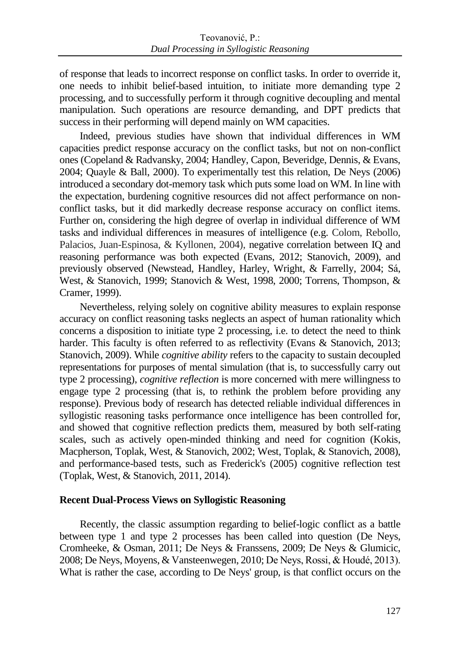of response that leads to incorrect response on conflict tasks. In order to override it, one needs to inhibit belief-based intuition, to initiate more demanding type 2 processing, and to successfully perform it through cognitive decoupling and mental manipulation. Such operations are resource demanding, and DPT predicts that success in their performing will depend mainly on WM capacities.

Indeed, previous studies have shown that individual differences in WM capacities predict response accuracy on the conflict tasks, but not on non-conflict ones (Copeland & Radvansky, 2004; Handley, Capon, Beveridge, Dennis, & Evans, 2004; Quayle & Ball, 2000). To experimentally test this relation, De Neys (2006) introduced a secondary dot-memory task which puts some load on WM. In line with the expectation, burdening cognitive resources did not affect performance on nonconflict tasks, but it did markedly decrease response accuracy on conflict items. Further on, considering the high degree of overlap in individual difference of WM tasks and individual differences in measures of intelligence (e.g. Colom, Rebollo, Palacios, Juan-Espinosa, & Kyllonen, 2004), negative correlation between IQ and reasoning performance was both expected (Evans, 2012; Stanovich, 2009), and previously observed (Newstead, Handley, Harley, Wright, & Farrelly, 2004; Sá, West, & Stanovich, 1999; Stanovich & West, 1998, 2000; Torrens, Thompson, & Cramer, 1999).

Nevertheless, relying solely on cognitive ability measures to explain response accuracy on conflict reasoning tasks neglects an aspect of human rationality which concerns a disposition to initiate type 2 processing, i.e. to detect the need to think harder. This faculty is often referred to as reflectivity (Evans & Stanovich, 2013; Stanovich, 2009). While *cognitive ability* refers to the capacity to sustain decoupled representations for purposes of mental simulation (that is, to successfully carry out type 2 processing), *cognitive reflection* is more concerned with mere willingness to engage type 2 processing (that is, to rethink the problem before providing any response). Previous body of research has detected reliable individual differences in syllogistic reasoning tasks performance once intelligence has been controlled for, and showed that cognitive reflection predicts them, measured by both self-rating scales, such as actively open-minded thinking and need for cognition (Kokis, Macpherson, Toplak, West, & Stanovich, 2002; West, Toplak, & Stanovich, 2008), and performance-based tests, such as Frederick's (2005) cognitive reflection test (Toplak, West, & Stanovich, 2011, 2014).

### **Recent Dual-Process Views on Syllogistic Reasoning**

Recently, the classic assumption regarding to belief-logic conflict as a battle between type 1 and type 2 processes has been called into question (De Neys, Cromheeke, & Osman, 2011; De Neys & Franssens, 2009; De Neys & Glumicic, 2008; De Neys, Moyens, & Vansteenwegen, 2010; De Neys, Rossi, & Houdé, 2013). What is rather the case, according to De Neys' group, is that conflict occurs on the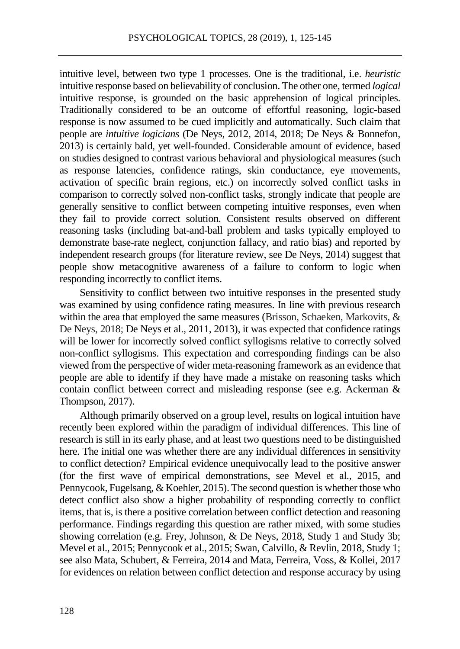intuitive level, between two type 1 processes. One is the traditional, i.e. *heuristic* intuitive response based on believability of conclusion. The other one, termed *logical* intuitive response, is grounded on the basic apprehension of logical principles. Traditionally considered to be an outcome of effortful reasoning, logic-based response is now assumed to be cued implicitly and automatically. Such claim that people are *intuitive logicians* (De Neys, 2012, 2014, 2018; De Neys & Bonnefon, 2013) is certainly bald, yet well-founded. Considerable amount of evidence, based on studies designed to contrast various behavioral and physiological measures (such as response latencies, confidence ratings, skin conductance, eye movements, activation of specific brain regions, etc.) on incorrectly solved conflict tasks in comparison to correctly solved non-conflict tasks, strongly indicate that people are generally sensitive to conflict between competing intuitive responses, even when they fail to provide correct solution. Consistent results observed on different reasoning tasks (including bat-and-ball problem and tasks typically employed to demonstrate base-rate neglect, conjunction fallacy, and ratio bias) and reported by independent research groups (for literature review, see De Neys, 2014) suggest that people show metacognitive awareness of a failure to conform to logic when responding incorrectly to conflict items.

Sensitivity to conflict between two intuitive responses in the presented study was examined by using confidence rating measures. In line with previous research within the area that employed the same measures (Brisson, Schaeken, Markovits, & De Neys, 2018; De Neys et al., 2011, 2013), it was expected that confidence ratings will be lower for incorrectly solved conflict syllogisms relative to correctly solved non-conflict syllogisms. This expectation and corresponding findings can be also viewed from the perspective of wider meta-reasoning framework as an evidence that people are able to identify if they have made a mistake on reasoning tasks which contain conflict between correct and misleading response (see e.g. Ackerman & Thompson, 2017).

Although primarily observed on a group level, results on logical intuition have recently been explored within the paradigm of individual differences. This line of research is still in its early phase, and at least two questions need to be distinguished here. The initial one was whether there are any individual differences in sensitivity to conflict detection? Empirical evidence unequivocally lead to the positive answer (for the first wave of empirical demonstrations, see Mevel et al., 2015, and Pennycook, Fugelsang, & Koehler, 2015). The second question is whether those who detect conflict also show a higher probability of responding correctly to conflict items, that is, is there a positive correlation between conflict detection and reasoning performance. Findings regarding this question are rather mixed, with some studies showing correlation (e.g. Frey, Johnson, & De Neys, 2018, Study 1 and Study 3b; Mevel et al., 2015; Pennycook et al., 2015; Swan, Calvillo, & Revlin, 2018, Study 1; see also Mata, Schubert, & Ferreira, 2014 and Mata, Ferreira, Voss, & Kollei, 2017 for evidences on relation between conflict detection and response accuracy by using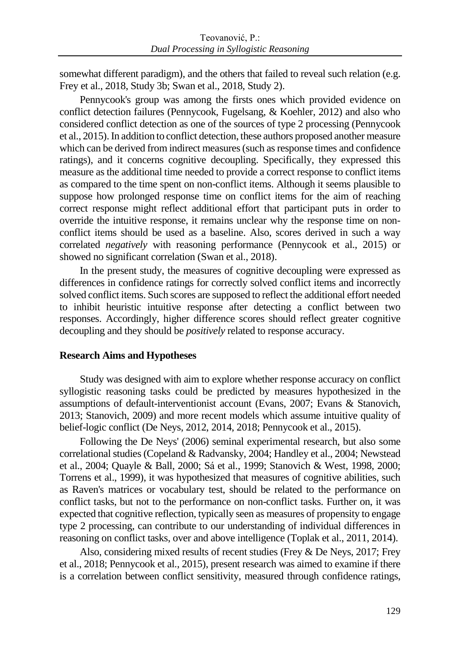somewhat different paradigm), and the others that failed to reveal such relation (e.g. Frey et al., 2018, Study 3b; Swan et al., 2018, Study 2).

Pennycook's group was among the firsts ones which provided evidence on conflict detection failures (Pennycook, Fugelsang, & Koehler, 2012) and also who considered conflict detection as one of the sources of type 2 processing (Pennycook et al., 2015). In addition to conflict detection, these authors proposed another measure which can be derived from indirect measures (such as response times and confidence ratings), and it concerns cognitive decoupling. Specifically, they expressed this measure as the additional time needed to provide a correct response to conflict items as compared to the time spent on non-conflict items. Although it seems plausible to suppose how prolonged response time on conflict items for the aim of reaching correct response might reflect additional effort that participant puts in order to override the intuitive response, it remains unclear why the response time on nonconflict items should be used as a baseline. Also, scores derived in such a way correlated *negatively* with reasoning performance (Pennycook et al., 2015) or showed no significant correlation (Swan et al., 2018).

In the present study, the measures of cognitive decoupling were expressed as differences in confidence ratings for correctly solved conflict items and incorrectly solved conflict items. Such scores are supposed to reflect the additional effort needed to inhibit heuristic intuitive response after detecting a conflict between two responses. Accordingly, higher difference scores should reflect greater cognitive decoupling and they should be *positively* related to response accuracy.

### **Research Aims and Hypotheses**

Study was designed with aim to explore whether response accuracy on conflict syllogistic reasoning tasks could be predicted by measures hypothesized in the assumptions of default-interventionist account (Evans, 2007; Evans & Stanovich, 2013; Stanovich, 2009) and more recent models which assume intuitive quality of belief-logic conflict (De Neys, 2012, 2014, 2018; Pennycook et al., 2015).

Following the De Neys' (2006) seminal experimental research, but also some correlational studies (Copeland & Radvansky, 2004; Handley et al., 2004; Newstead et al., 2004; Quayle & Ball, 2000; Sá et al., 1999; Stanovich & West, 1998, 2000; Torrens et al., 1999), it was hypothesized that measures of cognitive abilities, such as Raven's matrices or vocabulary test, should be related to the performance on conflict tasks, but not to the performance on non-conflict tasks. Further on, it was expected that cognitive reflection, typically seen as measures of propensity to engage type 2 processing, can contribute to our understanding of individual differences in reasoning on conflict tasks, over and above intelligence (Toplak et al., 2011, 2014).

Also, considering mixed results of recent studies (Frey & De Neys, 2017; Frey et al., 2018; Pennycook et al., 2015), present research was aimed to examine if there is a correlation between conflict sensitivity, measured through confidence ratings,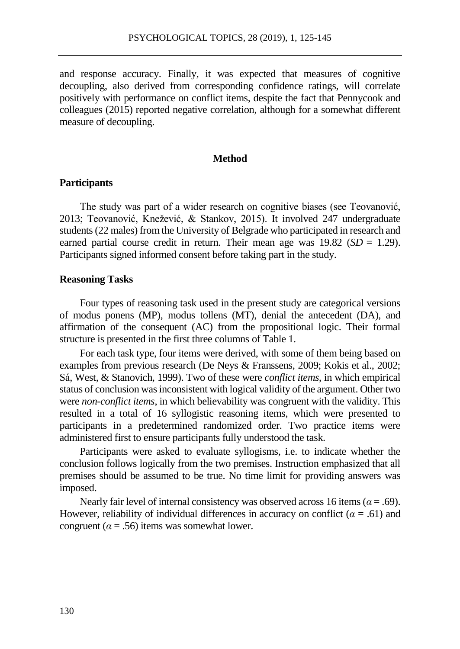and response accuracy. Finally, it was expected that measures of cognitive decoupling, also derived from corresponding confidence ratings, will correlate positively with performance on conflict items, despite the fact that Pennycook and colleagues (2015) reported negative correlation, although for a somewhat different measure of decoupling.

### **Method**

### **Participants**

The study was part of a wider research on cognitive biases (see Teovanović, 2013; Teovanović, Knežević, & Stankov, 2015). It involved 247 undergraduate students (22 males) from the University of Belgrade who participated in research and earned partial course credit in return. Their mean age was  $19.82$  (*SD* = 1.29). Participants signed informed consent before taking part in the study.

### **Reasoning Tasks**

Four types of reasoning task used in the present study are categorical versions of modus ponens (MP), modus tollens (MT), denial the antecedent (DA), and affirmation of the consequent (AC) from the propositional logic. Their formal structure is presented in the first three columns of Table 1.

For each task type, four items were derived, with some of them being based on examples from previous research (De Neys & Franssens, 2009; Kokis et al., 2002; Sá, West, & Stanovich, 1999). Two of these were *conflict items*, in which empirical status of conclusion was inconsistent with logical validity of the argument. Other two were *non-conflict items*, in which believability was congruent with the validity. This resulted in a total of 16 syllogistic reasoning items, which were presented to participants in a predetermined randomized order. Two practice items were administered first to ensure participants fully understood the task.

Participants were asked to evaluate syllogisms, i.e. to indicate whether the conclusion follows logically from the two premises. Instruction emphasized that all premises should be assumed to be true. No time limit for providing answers was imposed.

Nearly fair level of internal consistency was observed across 16 items ( $\alpha$  = .69). However, reliability of individual differences in accuracy on conflict ( $\alpha = .61$ ) and congruent ( $\alpha$  = .56) items was somewhat lower.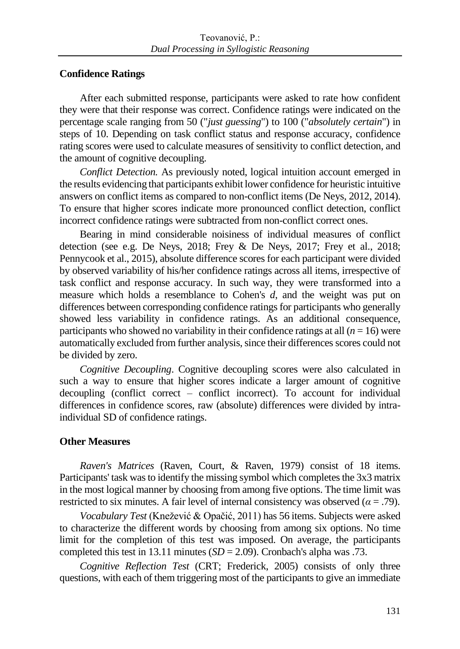# **Confidence Ratings**

After each submitted response, participants were asked to rate how confident they were that their response was correct. Confidence ratings were indicated on the percentage scale ranging from 50 ("*just guessing*") to 100 ("*absolutely certain*") in steps of 10. Depending on task conflict status and response accuracy, confidence rating scores were used to calculate measures of sensitivity to conflict detection, and the amount of cognitive decoupling.

*Conflict Detection.* As previously noted, logical intuition account emerged in the results evidencing that participants exhibit lower confidence for heuristic intuitive answers on conflict items as compared to non-conflict items (De Neys, 2012, 2014). To ensure that higher scores indicate more pronounced conflict detection, conflict incorrect confidence ratings were subtracted from non-conflict correct ones.

Bearing in mind considerable noisiness of individual measures of conflict detection (see e.g. De Neys, 2018; Frey & De Neys, 2017; Frey et al., 2018; Pennycook et al., 2015), absolute difference scores for each participant were divided by observed variability of his/her confidence ratings across all items, irrespective of task conflict and response accuracy. In such way, they were transformed into a measure which holds a resemblance to Cohen's *d*, and the weight was put on differences between corresponding confidence ratings for participants who generally showed less variability in confidence ratings. As an additional consequence, participants who showed no variability in their confidence ratings at all  $(n = 16)$  were automatically excluded from further analysis, since their differences scores could not be divided by zero.

*Cognitive Decoupling*. Cognitive decoupling scores were also calculated in such a way to ensure that higher scores indicate a larger amount of cognitive decoupling (conflict correct – conflict incorrect). To account for individual differences in confidence scores, raw (absolute) differences were divided by intraindividual SD of confidence ratings.

# **Other Measures**

*Raven's Matrices* (Raven, Court, & Raven, 1979) consist of 18 items. Participants' task was to identify the missing symbol which completes the 3x3 matrix in the most logical manner by choosing from among five options. The time limit was restricted to six minutes. A fair level of internal consistency was observed ( $\alpha$  = .79).

*Vocabulary Test* (Knežević & Opačić, 2011) has 56 items. Subjects were asked to characterize the different words by choosing from among six options. No time limit for the completion of this test was imposed. On average, the participants completed this test in 13.11 minutes  $(SD = 2.09)$ . Cronbach's alpha was .73.

*Cognitive Reflection Test* (CRT; Frederick, 2005) consists of only three questions, with each of them triggering most of the participants to give an immediate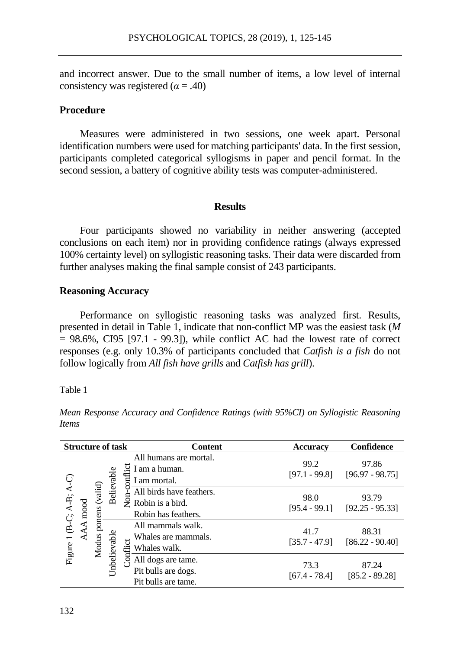and incorrect answer. Due to the small number of items, a low level of internal consistency was registered  $(α = .40)$ 

# **Procedure**

Measures were administered in two sessions, one week apart. Personal identification numbers were used for matching participants' data. In the first session, participants completed categorical syllogisms in paper and pencil format. In the second session, a battery of cognitive ability tests was computer-administered.

### **Results**

Four participants showed no variability in neither answering (accepted conclusions on each item) nor in providing confidence ratings (always expressed 100% certainty level) on syllogistic reasoning tasks. Their data were discarded from further analyses making the final sample consist of 243 participants.

# **Reasoning Accuracy**

Performance on syllogistic reasoning tasks was analyzed first. Results, presented in detail in Table 1, indicate that non-conflict MP was the easiest task (*M*  $= 98.6\%$ , CI95 [97.1 - 99.3]), while conflict AC had the lowest rate of correct responses (e.g. only 10.3% of participants concluded that *Catfish is a fish* do not follow logically from *All fish have grills* and *Catfish has grill*).

Table 1

*Mean Response Accuracy and Confidence Ratings (with 95%CI) on Syllogistic Reasoning Items*

| <b>Structure of task</b>       |           |                      |              |             | <b>Content</b>                                                      | <b>Accuracy</b>                                                  | Confidence                 |
|--------------------------------|-----------|----------------------|--------------|-------------|---------------------------------------------------------------------|------------------------------------------------------------------|----------------------------|
|                                |           | Modus ponens (valid) | Believable   | Non-conflic | All humans are mortal.<br>I am a human.<br>I am mortal.             | 99.2<br>$[97.1 - 99.8]$                                          | 97.86<br>$[96.97 - 98.75]$ |
| Figure 1 (B-C; $A-B$ ; $A-C$ ) | mood<br>⋖ |                      |              |             | All birds have feathers.<br>Robin is a bird.<br>Robin has feathers. | 98.0<br>$[95.4 - 99.1]$                                          | 93.79<br>$[92.25 - 95.33]$ |
|                                |           |                      | Jnbelievable | Conflict    | All mammals walk.<br>Whales are mammals.<br>Whales walk.            | 41.7<br>$[35.7 - 47.9]$                                          | 88.31<br>$[86.22 - 90.40]$ |
|                                |           |                      |              |             |                                                                     | All dogs are tame.<br>Pit bulls are dogs.<br>Pit bulls are tame. | 73.3<br>$[67.4 - 78.4]$    |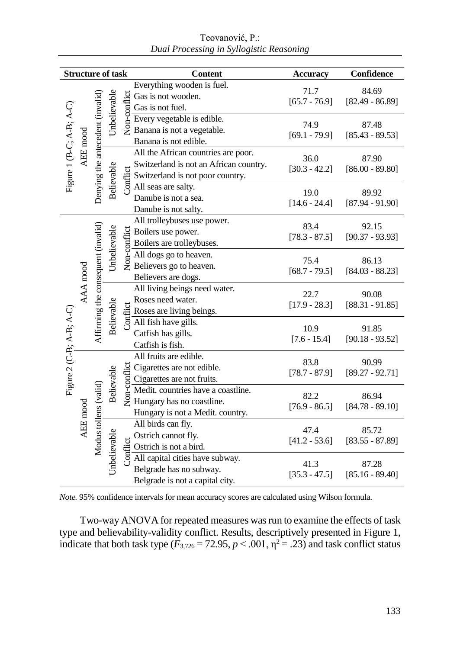| <b>Structure of task</b>       |          |                                    |              |                            | <b>Content</b>                                                                                                                                                                                    | Accuracy        | Confidence                 |  |
|--------------------------------|----------|------------------------------------|--------------|----------------------------|---------------------------------------------------------------------------------------------------------------------------------------------------------------------------------------------------|-----------------|----------------------------|--|
|                                |          |                                    |              |                            | Everything wooden is fuel.                                                                                                                                                                        | 71.7            | 84.69<br>$[82.49 - 86.89]$ |  |
| Figure 1 (B-C; $A-B$ ; $A-C$ ) |          |                                    | Unbelievable |                            |                                                                                                                                                                                                   | $[65.7 - 76.9]$ |                            |  |
|                                | AEE mood |                                    |              |                            | $\frac{15}{5}$ Gas is not wooden.<br>$\frac{15}{5}$ Gas is not fuel.<br>$\frac{1}{2}$ Every vegetable is edible.<br>$\frac{1}{2}$ Banana is not a vegetable.                                      |                 |                            |  |
|                                |          | Denying the antecedent (invalid)   |              |                            |                                                                                                                                                                                                   | 74.9            | 87.48                      |  |
|                                |          |                                    |              |                            |                                                                                                                                                                                                   | $[69.1 - 79.9]$ | $[85.43 - 89.53]$          |  |
|                                |          |                                    |              |                            | Banana is not edible.                                                                                                                                                                             |                 |                            |  |
|                                |          |                                    | Believable   | Conflict                   | All the African countries are poor.                                                                                                                                                               | 36.0            | 87.90                      |  |
|                                |          |                                    |              |                            | Switzerland is not an African country.                                                                                                                                                            | $[30.3 - 42.2]$ | $[86.00 - 89.80]$          |  |
|                                |          |                                    |              |                            | Switzerland is not poor country.                                                                                                                                                                  |                 |                            |  |
|                                |          |                                    |              |                            | All seas are salty.                                                                                                                                                                               | 19.0            | 89.92                      |  |
|                                |          |                                    |              |                            | Danube is not a sea.                                                                                                                                                                              | $[14.6 - 24.4]$ | $[87.94 - 91.90]$          |  |
|                                |          |                                    |              |                            | Danube is not salty.                                                                                                                                                                              |                 |                            |  |
|                                |          | Affirming the consequent (invalid) |              |                            | All trolleybuses use power.                                                                                                                                                                       | 83.4            | 92.15                      |  |
|                                | AAA mood |                                    | Unbelievable |                            |                                                                                                                                                                                                   | $[78.3 - 87.5]$ | $[90.37 - 93.93]$          |  |
|                                |          |                                    |              |                            | Example 1<br>$\frac{1}{5}$ Boilers are trolleybuses.<br>$\frac{1}{5}$ All dogs go to heaven.<br>$\frac{1}{2}$ Believers go to heaven.<br>Boilers are trolleybuses.                                |                 |                            |  |
|                                |          |                                    |              |                            |                                                                                                                                                                                                   | 75.4            | 86.13                      |  |
|                                |          |                                    |              |                            | Believers are dogs.                                                                                                                                                                               | $[68.7 - 79.5]$ | $[84.03 - 88.23]$          |  |
|                                |          |                                    | Believable   |                            | All living beings need water.                                                                                                                                                                     |                 |                            |  |
|                                |          |                                    |              |                            | Roses need water.                                                                                                                                                                                 | 22.7            | 90.08                      |  |
|                                |          |                                    |              |                            | Roses are living beings.                                                                                                                                                                          | $[17.9 - 28.3]$ | $[88.31 - 91.85]$          |  |
| Figure 2 (C-B; A-B; A-C)       |          |                                    |              |                            | $\frac{15}{6}$ Roses need water.<br>Roses are living be<br>All fish have gills.                                                                                                                   |                 |                            |  |
|                                |          |                                    |              |                            | Catfish has gills.                                                                                                                                                                                | 10.9            | 91.85                      |  |
|                                |          |                                    |              |                            | Catfish is fish.                                                                                                                                                                                  | $[7.6 - 15.4]$  | $[90.18 - 93.52]$          |  |
|                                |          |                                    |              | Believable<br>Unbelievable | All fruits are edible.                                                                                                                                                                            |                 |                            |  |
|                                |          |                                    |              |                            |                                                                                                                                                                                                   | 83.8            | 90.99<br>$[89.27 - 92.71]$ |  |
|                                |          |                                    |              |                            |                                                                                                                                                                                                   | $[78.7 - 87.9]$ |                            |  |
|                                |          |                                    |              |                            | Exercise are not edible.<br>$\frac{1}{5}$ Cigarettes are not fruits.<br>$\frac{1}{2}$ Medit. countries have a co<br>$\frac{1}{2}$ Hungary has no coastline.<br>Medit. countries have a coastline. |                 |                            |  |
|                                |          |                                    |              |                            |                                                                                                                                                                                                   | 82.2            | 86.94                      |  |
|                                | AEE mood |                                    |              |                            | Hungary is not a Medit. country.                                                                                                                                                                  | $[76.9 - 86.5]$ | $[84.78 - 89.10]$          |  |
|                                |          |                                    |              |                            | All birds can fly.                                                                                                                                                                                | 47.4            | 85.72                      |  |
|                                |          | Modus tollens (valid)              |              |                            | Ostrich cannot fly.                                                                                                                                                                               | $[41.2 - 53.6]$ | $[83.55 - 87.89]$          |  |
|                                |          |                                    |              |                            |                                                                                                                                                                                                   |                 |                            |  |
|                                |          |                                    |              |                            | Ustrich cannot fly.<br>$\frac{1}{5}$ Ostrich is not a bird.<br>$\frac{1}{5}$ All capital cities have subway.                                                                                      | 41.3            | 87.28                      |  |
|                                |          |                                    |              |                            | Belgrade has no subway.                                                                                                                                                                           | $[35.3 - 47.5]$ | $[85.16 - 89.40]$          |  |
|                                |          |                                    |              |                            | Belgrade is not a capital city.                                                                                                                                                                   |                 |                            |  |

Teovanović, P.: *Dual Processing in Syllogistic Reasoning*

*Note.* 95% confidence intervals for mean accuracy scores are calculated using Wilson formula.

Two-way ANOVA for repeated measures was run to examine the effects of task type and believability-validity conflict. Results, descriptively presented in Figure 1, indicate that both task type  $(F_{3,726} = 72.95, p < .001, \eta^2 = .23)$  and task conflict status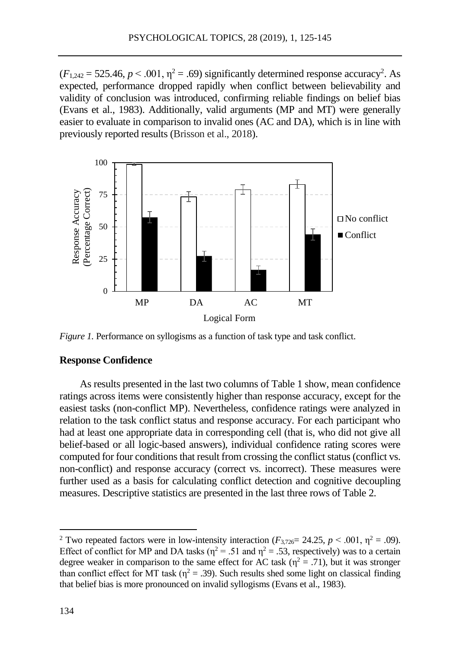$(F_{1,242} = 525.46, p < .001, \eta^2 = .69)$  significantly determined response accuracy<sup>2</sup>. As expected, performance dropped rapidly when conflict between believability and validity of conclusion was introduced, confirming reliable findings on belief bias (Evans et al., 1983). Additionally, valid arguments (MP and MT) were generally easier to evaluate in comparison to invalid ones (AC and DA), which is in line with previously reported results (Brisson et al., 2018).



*Figure 1.* Performance on syllogisms as a function of task type and task conflict.

# **Response Confidence**

As results presented in the last two columns of Table 1 show, mean confidence ratings across items were consistently higher than response accuracy, except for the easiest tasks (non-conflict MP). Nevertheless, confidence ratings were analyzed in relation to the task conflict status and response accuracy. For each participant who had at least one appropriate data in corresponding cell (that is, who did not give all belief-based or all logic-based answers), individual confidence rating scores were computed for four conditions that result from crossing the conflict status (conflict vs. non-conflict) and response accuracy (correct vs. incorrect). These measures were further used as a basis for calculating conflict detection and cognitive decoupling measures. Descriptive statistics are presented in the last three rows of Table 2.

 $\overline{a}$ 

<sup>&</sup>lt;sup>2</sup> Two repeated factors were in low-intensity interaction ( $F_{3,726}= 24.25$ ,  $p < .001$ ,  $p^2 = .09$ ). Effect of conflict for MP and DA tasks ( $\eta^2$  = .51 and  $\eta^2$  = .53, respectively) was to a certain degree weaker in comparison to the same effect for AC task ( $\eta^2 = .71$ ), but it was stronger than conflict effect for MT task ( $\eta^2$  = .39). Such results shed some light on classical finding that belief bias is more pronounced on invalid syllogisms (Evans et al., 1983).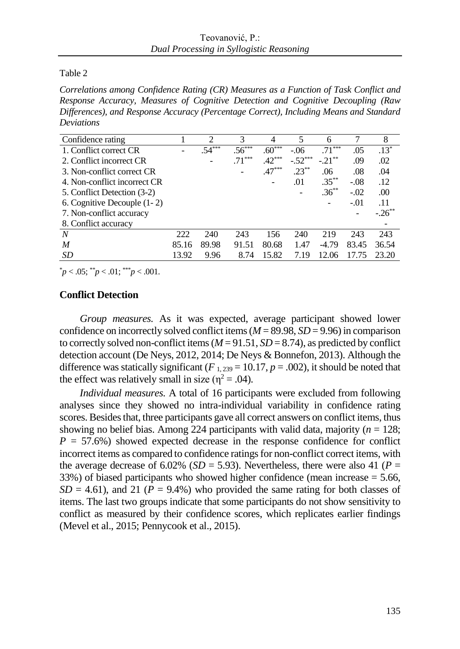Table 2

*Correlations among Confidence Rating (CR) Measures as a Function of Task Conflict and Response Accuracy, Measures of Cognitive Detection and Cognitive Decoupling (Raw Differences), and Response Accuracy (Percentage Correct), Including Means and Standard Deviations*

| Confidence rating            |       | 2        | 3        |          | 5         | 6         |        | 8         |
|------------------------------|-------|----------|----------|----------|-----------|-----------|--------|-----------|
| 1. Conflict correct CR       |       | $.54***$ | $.56***$ | $.60***$ | $-.06$    | $.71***$  | .05    | $.13*$    |
| 2. Conflict incorrect CR     |       |          | $.71***$ | $.42***$ | $-.52***$ | $-.21***$ | .09    | .02       |
| 3. Non-conflict correct CR   |       |          |          | $.47***$ | $.23***$  | .06       | .08    | .04       |
| 4. Non-conflict incorrect CR |       |          |          |          | .01       | $.35***$  | $-.08$ | .12       |
| 5. Conflict Detection (3-2)  |       |          |          |          |           | $.36***$  | $-.02$ | .00       |
| 6. Cognitive Decouple (1-2)  |       |          |          |          |           |           | $-.01$ | .11       |
| 7. Non-conflict accuracy     |       |          |          |          |           |           |        | $-.26$ ** |
| 8. Conflict accuracy         |       |          |          |          |           |           |        |           |
| N                            | 222   | 240      | 243      | 156      | 240       | 219       | 243    | 243       |
| M                            | 85.16 | 89.98    | 91.51    | 80.68    | 1.47      | $-4.79$   | 83.45  | 36.54     |
| SD                           | 13.92 | 9.96     | 8.74     | 15.82    | 7.19      | 12.06     | 17.75  | 23.20     |

 $p < .05$ ;  $p < .01$ ;  $p < .001$ .

# **Conflict Detection**

*Group measures.* As it was expected, average participant showed lower confidence on incorrectly solved conflict items (*M* = 89.98, *SD* = 9.96) in comparison to correctly solved non-conflict items  $(M = 91.51, SD = 8.74)$ , as predicted by conflict detection account (De Neys, 2012, 2014; De Neys & Bonnefon, 2013). Although the difference was statically significant ( $F_{1,239} = 10.17$ ,  $p = .002$ ), it should be noted that the effect was relatively small in size ( $\eta^2 = .04$ ).

*Individual measures.* A total of 16 participants were excluded from following analyses since they showed no intra-individual variability in confidence rating scores. Besides that, three participants gave all correct answers on conflict items, thus showing no belief bias. Among 224 participants with valid data, majority ( $n = 128$ ;  $P = 57.6\%$ ) showed expected decrease in the response confidence for conflict incorrect items as compared to confidence ratings for non-conflict correct items, with the average decrease of 6.02% ( $SD = 5.93$ ). Nevertheless, there were also 41 ( $P =$ 33%) of biased participants who showed higher confidence (mean increase = 5.66,  $SD = 4.61$ ), and 21 ( $P = 9.4\%$ ) who provided the same rating for both classes of items. The last two groups indicate that some participants do not show sensitivity to conflict as measured by their confidence scores, which replicates earlier findings (Mevel et al., 2015; Pennycook et al., 2015).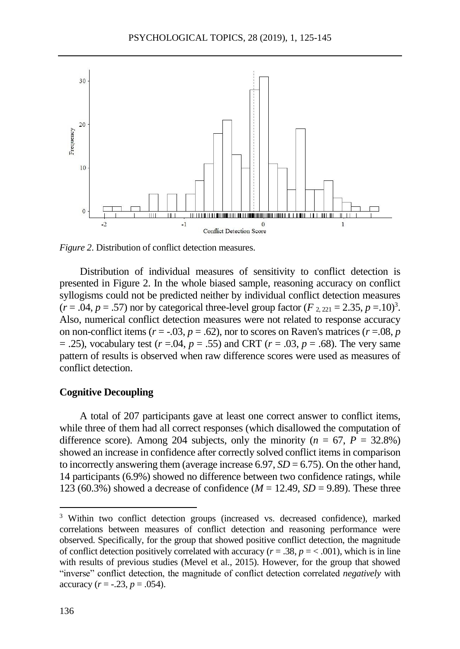

*Figure 2*. Distribution of conflict detection measures.

Distribution of individual measures of sensitivity to conflict detection is presented in Figure 2. In the whole biased sample, reasoning accuracy on conflict syllogisms could not be predicted neither by individual conflict detection measures  $(r = .04, p = .57)$  nor by categorical three-level group factor  $(F_{2,221} = 2.35, p = .10)^3$ . Also, numerical conflict detection measures were not related to response accuracy on non-conflict items ( $r = -0.03$ ,  $p = 0.62$ ), nor to scores on Raven's matrices ( $r = 0.08$ ,  $p = 0.08$ = .25), vocabulary test (*r* =.04, *p* = .55) and CRT (*r* = .03, *p* = .68). The very same pattern of results is observed when raw difference scores were used as measures of conflict detection.

#### **Cognitive Decoupling**

A total of 207 participants gave at least one correct answer to conflict items, while three of them had all correct responses (which disallowed the computation of difference score). Among 204 subjects, only the minority  $(n = 67, P = 32.8\%)$ showed an increase in confidence after correctly solved conflict items in comparison to incorrectly answering them (average increase  $6.97$ ,  $SD = 6.75$ ). On the other hand, 14 participants (6.9%) showed no difference between two confidence ratings, while 123 (60.3%) showed a decrease of confidence ( $M = 12.49$ ,  $SD = 9.89$ ). These three

 $\overline{a}$ 

<sup>&</sup>lt;sup>3</sup> Within two conflict detection groups (increased vs. decreased confidence), marked correlations between measures of conflict detection and reasoning performance were observed. Specifically, for the group that showed positive conflict detection, the magnitude of conflict detection positively correlated with accuracy  $(r = .38, p = < .001)$ , which is in line with results of previous studies (Mevel et al., 2015). However, for the group that showed "inverse" conflict detection, the magnitude of conflict detection correlated *negatively* with accuracy  $(r = -.23, p = .054)$ .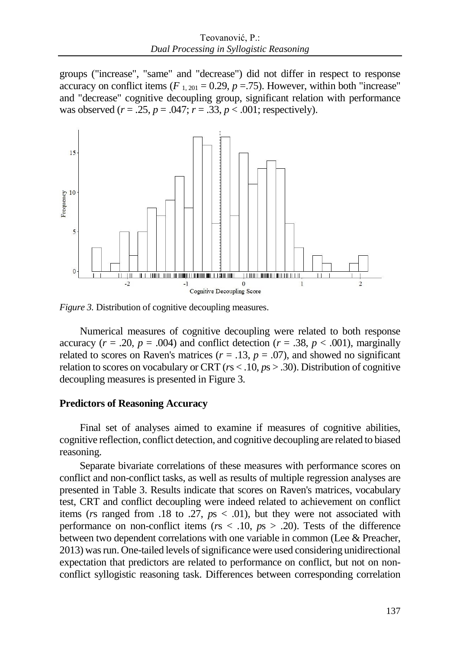groups ("increase", "same" and "decrease") did not differ in respect to response accuracy on conflict items ( $F_{1, 201} = 0.29$ ,  $p = .75$ ). However, within both "increase" and "decrease" cognitive decoupling group, significant relation with performance was observed ( $r = .25$ ,  $p = .047$ ;  $r = .33$ ,  $p < .001$ ; respectively).



*Figure 3.* Distribution of cognitive decoupling measures.

Numerical measures of cognitive decoupling were related to both response accuracy ( $r = .20$ ,  $p = .004$ ) and conflict detection ( $r = .38$ ,  $p < .001$ ), marginally related to scores on Raven's matrices  $(r = .13, p = .07)$ , and showed no significant relation to scores on vocabulary or CRT (*r*s < .10, *p*s > .30). Distribution of cognitive decoupling measures is presented in Figure 3.

### **Predictors of Reasoning Accuracy**

Final set of analyses aimed to examine if measures of cognitive abilities, cognitive reflection, conflict detection, and cognitive decoupling are related to biased reasoning.

Separate bivariate correlations of these measures with performance scores on conflict and non-conflict tasks, as well as results of multiple regression analyses are presented in Table 3. Results indicate that scores on Raven's matrices, vocabulary test, CRT and conflict decoupling were indeed related to achievement on conflict items (*r*s ranged from .18 to .27, *p*s < .01), but they were not associated with performance on non-conflict items (*r*s < .10, *p*s > .20). Tests of the difference between two dependent correlations with one variable in common (Lee & Preacher, 2013) was run. One-tailed levels of significance were used considering unidirectional expectation that predictors are related to performance on conflict, but not on nonconflict syllogistic reasoning task. Differences between corresponding correlation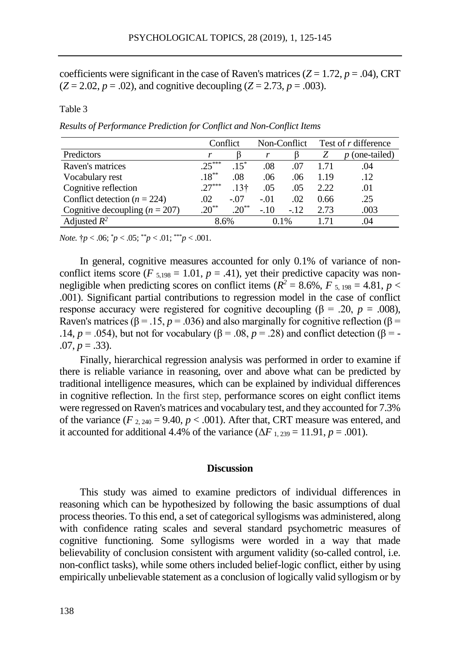coefficients were significant in the case of Raven's matrices  $(Z = 1.72, p = .04)$ , CRT  $(Z = 2.02, p = .02)$ , and cognitive decoupling  $(Z = 2.73, p = .003)$ .

Table 3

*Results of Performance Prediction for Conflict and Non-Conflict Items*

|                                  |           | Conflict         |        | Non-Conflict | Test of r difference |                   |
|----------------------------------|-----------|------------------|--------|--------------|----------------------|-------------------|
| Predictors                       |           |                  |        |              |                      | (one-tailed)<br>n |
| Raven's matrices                 | $25***$   | $15^*$           | .08    | .07          | 1.71                 | .04               |
| Vocabulary rest                  | $.18***$  | .08              | .06    | .06          | 1.19                 | .12               |
| Cognitive reflection             | $.27***$  | .13 <sup>†</sup> | .05    | .05          | 2.22                 | .01               |
| Conflict detection ( $n = 224$ ) | .02       | $-.07$           | $-.01$ | .02          | 0.66                 | .25               |
| Cognitive decoupling $(n = 207)$ | $20^{**}$ | $20^{**}$        | $-.10$ | $-12$        | 2.73                 | .003              |
| Adjusted $R^2$                   | 8.6%      |                  |        | $0.1\%$      |                      | .04               |

*Note.*  $\uparrow p < .06$ ;  $\uparrow p < .05$ ;  $\uparrow^* p < .01$ ;  $\downarrow^* p < .001$ .

In general, cognitive measures accounted for only 0.1% of variance of nonconflict items score ( $F_{5,198} = 1.01$ ,  $p = .41$ ), yet their predictive capacity was nonnegligible when predicting scores on conflict items ( $R^2 = 8.6\%$ ,  $F_{5,198} = 4.81$ ,  $p <$ .001). Significant partial contributions to regression model in the case of conflict response accuracy were registered for cognitive decoupling ( $\beta$  = .20, *p* = .008), Raven's matrices ( $\beta$  = .15, *p* = .036) and also marginally for cognitive reflection ( $\beta$  = .14, *p* = .054), but not for vocabulary (β = .08, *p* = .28) and conflict detection (β = - $.07, p = .33$ ).

Finally, hierarchical regression analysis was performed in order to examine if there is reliable variance in reasoning, over and above what can be predicted by traditional intelligence measures, which can be explained by individual differences in cognitive reflection. In the first step, performance scores on eight conflict items were regressed on Raven's matrices and vocabulary test, and they accounted for 7.3% of the variance  $(F_{2,240} = 9.40, p < .001)$ . After that, CRT measure was entered, and it accounted for additional 4.4% of the variance  $(\Delta F_{1,239} = 11.91, p = .001)$ .

### **Discussion**

This study was aimed to examine predictors of individual differences in reasoning which can be hypothesized by following the basic assumptions of dual process theories. To this end, a set of categorical syllogisms was administered, along with confidence rating scales and several standard psychometric measures of cognitive functioning. Some syllogisms were worded in a way that made believability of conclusion consistent with argument validity (so-called control, i.e. non-conflict tasks), while some others included belief-logic conflict, either by using empirically unbelievable statement as a conclusion of logically valid syllogism or by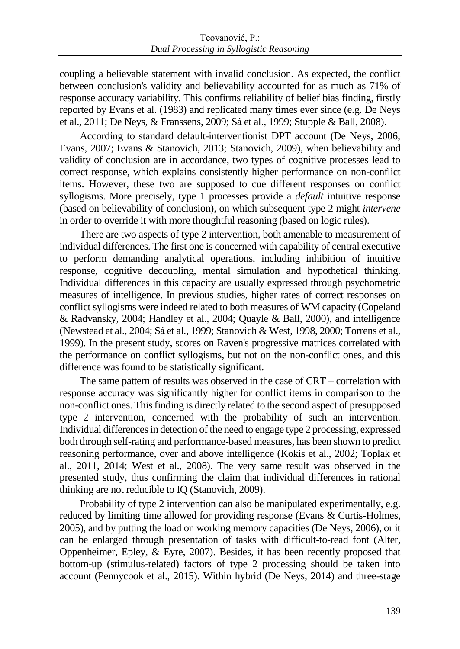coupling a believable statement with invalid conclusion. As expected, the conflict between conclusion's validity and believability accounted for as much as 71% of response accuracy variability. This confirms reliability of belief bias finding, firstly reported by Evans et al. (1983) and replicated many times ever since (e.g. De Neys et al., 2011; De Neys, & Franssens, 2009; Sá et al., 1999; Stupple & Ball, 2008).

According to standard default-interventionist DPT account (De Neys, 2006; Evans, 2007; Evans & Stanovich, 2013; Stanovich, 2009), when believability and validity of conclusion are in accordance, two types of cognitive processes lead to correct response, which explains consistently higher performance on non-conflict items. However, these two are supposed to cue different responses on conflict syllogisms. More precisely, type 1 processes provide a *default* intuitive response (based on believability of conclusion), on which subsequent type 2 might *intervene* in order to override it with more thoughtful reasoning (based on logic rules).

There are two aspects of type 2 intervention, both amenable to measurement of individual differences. The first one is concerned with capability of central executive to perform demanding analytical operations, including inhibition of intuitive response, cognitive decoupling, mental simulation and hypothetical thinking. Individual differences in this capacity are usually expressed through psychometric measures of intelligence. In previous studies, higher rates of correct responses on conflict syllogisms were indeed related to both measures of WM capacity (Copeland & Radvansky, 2004; Handley et al., 2004; Quayle & Ball, 2000), and intelligence (Newstead et al., 2004; Sá et al., 1999; Stanovich & West, 1998, 2000; Torrens et al., 1999). In the present study, scores on Raven's progressive matrices correlated with the performance on conflict syllogisms, but not on the non-conflict ones, and this difference was found to be statistically significant.

The same pattern of results was observed in the case of CRT – correlation with response accuracy was significantly higher for conflict items in comparison to the non-conflict ones. This finding is directly related to the second aspect of presupposed type 2 intervention, concerned with the probability of such an intervention. Individual differences in detection of the need to engage type 2 processing, expressed both through self-rating and performance-based measures, has been shown to predict reasoning performance, over and above intelligence (Kokis et al., 2002; Toplak et al., 2011, 2014; West et al., 2008). The very same result was observed in the presented study, thus confirming the claim that individual differences in rational thinking are not reducible to IQ (Stanovich, 2009).

Probability of type 2 intervention can also be manipulated experimentally, e.g. reduced by limiting time allowed for providing response (Evans & Curtis-Holmes, 2005), and by putting the load on working memory capacities (De Neys, 2006), or it can be enlarged through presentation of tasks with difficult-to-read font (Alter, Oppenheimer, Epley, & Eyre, 2007). Besides, it has been recently proposed that bottom-up (stimulus-related) factors of type 2 processing should be taken into account (Pennycook et al., 2015). Within hybrid (De Neys, 2014) and three-stage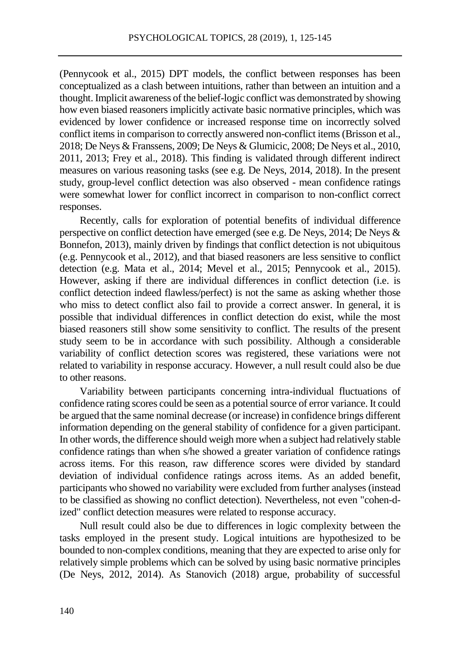(Pennycook et al., 2015) DPT models, the conflict between responses has been conceptualized as a clash between intuitions, rather than between an intuition and a thought. Implicit awareness of the belief-logic conflict was demonstrated by showing how even biased reasoners implicitly activate basic normative principles, which was evidenced by lower confidence or increased response time on incorrectly solved conflict items in comparison to correctly answered non-conflict items (Brisson et al., 2018; De Neys & Franssens, 2009; De Neys & Glumicic, 2008; De Neys et al., 2010, 2011, 2013; Frey et al., 2018). This finding is validated through different indirect measures on various reasoning tasks (see e.g. De Neys, 2014, 2018). In the present study, group-level conflict detection was also observed - mean confidence ratings were somewhat lower for conflict incorrect in comparison to non-conflict correct responses.

Recently, calls for exploration of potential benefits of individual difference perspective on conflict detection have emerged (see e.g. De Neys, 2014; De Neys & Bonnefon, 2013), mainly driven by findings that conflict detection is not ubiquitous (e.g. Pennycook et al., 2012), and that biased reasoners are less sensitive to conflict detection (e.g. Mata et al., 2014; Mevel et al., 2015; Pennycook et al., 2015). However, asking if there are individual differences in conflict detection (i.e. is conflict detection indeed flawless/perfect) is not the same as asking whether those who miss to detect conflict also fail to provide a correct answer. In general, it is possible that individual differences in conflict detection do exist, while the most biased reasoners still show some sensitivity to conflict. The results of the present study seem to be in accordance with such possibility. Although a considerable variability of conflict detection scores was registered, these variations were not related to variability in response accuracy. However, a null result could also be due to other reasons.

Variability between participants concerning intra-individual fluctuations of confidence rating scores could be seen as a potential source of error variance. It could be argued that the same nominal decrease (or increase) in confidence brings different information depending on the general stability of confidence for a given participant. In other words, the difference should weigh more when a subject had relatively stable confidence ratings than when s/he showed a greater variation of confidence ratings across items. For this reason, raw difference scores were divided by standard deviation of individual confidence ratings across items. As an added benefit, participants who showed no variability were excluded from further analyses (instead to be classified as showing no conflict detection). Nevertheless, not even "cohen-dized" conflict detection measures were related to response accuracy.

Null result could also be due to differences in logic complexity between the tasks employed in the present study. Logical intuitions are hypothesized to be bounded to non-complex conditions, meaning that they are expected to arise only for relatively simple problems which can be solved by using basic normative principles (De Neys, 2012, 2014). As Stanovich (2018) argue, probability of successful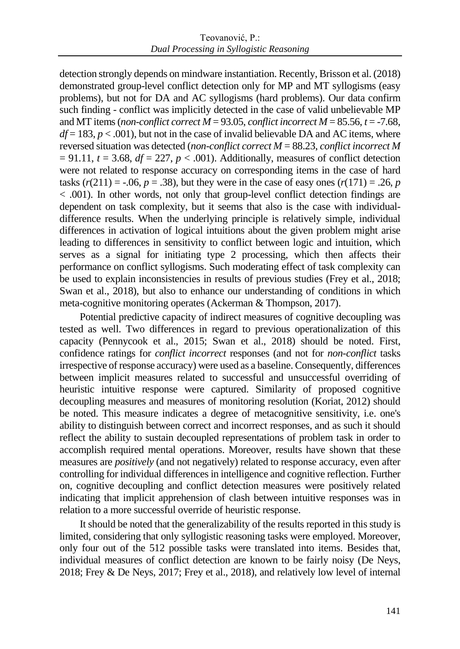detection strongly depends on mindware instantiation. Recently, Brisson et al. (2018) demonstrated group-level conflict detection only for MP and MT syllogisms (easy problems), but not for DA and AC syllogisms (hard problems). Our data confirm such finding - conflict was implicitly detected in the case of valid unbelievable MP and MT items (*non-conflict correct*  $\dot{M} = 93.05$ , *conflict incorrect*  $M = 85.56$ ,  $t = -7.68$ ,  $df = 183$ ,  $p < .001$ ), but not in the case of invalid believable DA and AC items, where reversed situation was detected (*non-conflict correct M* = 88.23, *conflict incorrect M*  $= 91.11$ ,  $t = 3.68$ ,  $df = 227$ ,  $p < .001$ ). Additionally, measures of conflict detection were not related to response accuracy on corresponding items in the case of hard tasks  $(r(211) = -.06, p = .38)$ , but they were in the case of easy ones  $(r(171) = .26, p$ < .001). In other words, not only that group-level conflict detection findings are dependent on task complexity, but it seems that also is the case with individualdifference results. When the underlying principle is relatively simple, individual differences in activation of logical intuitions about the given problem might arise leading to differences in sensitivity to conflict between logic and intuition, which serves as a signal for initiating type 2 processing, which then affects their performance on conflict syllogisms. Such moderating effect of task complexity can be used to explain inconsistencies in results of previous studies (Frey et al., 2018; Swan et al., 2018), but also to enhance our understanding of conditions in which meta-cognitive monitoring operates (Ackerman & Thompson, 2017).

Potential predictive capacity of indirect measures of cognitive decoupling was tested as well. Two differences in regard to previous operationalization of this capacity (Pennycook et al., 2015; Swan et al., 2018) should be noted. First, confidence ratings for *conflict incorrect* responses (and not for *non-conflict* tasks irrespective of response accuracy) were used as a baseline. Consequently, differences between implicit measures related to successful and unsuccessful overriding of heuristic intuitive response were captured. Similarity of proposed cognitive decoupling measures and measures of monitoring resolution (Koriat, 2012) should be noted. This measure indicates a degree of metacognitive sensitivity, i.e. one's ability to distinguish between correct and incorrect responses, and as such it should reflect the ability to sustain decoupled representations of problem task in order to accomplish required mental operations. Moreover, results have shown that these measures are *positively* (and not negatively) related to response accuracy, even after controlling for individual differences in intelligence and cognitive reflection. Further on, cognitive decoupling and conflict detection measures were positively related indicating that implicit apprehension of clash between intuitive responses was in relation to a more successful override of heuristic response.

It should be noted that the generalizability of the results reported in this study is limited, considering that only syllogistic reasoning tasks were employed. Moreover, only four out of the 512 possible tasks were translated into items. Besides that, individual measures of conflict detection are known to be fairly noisy (De Neys, 2018; Frey & De Neys, 2017; Frey et al., 2018), and relatively low level of internal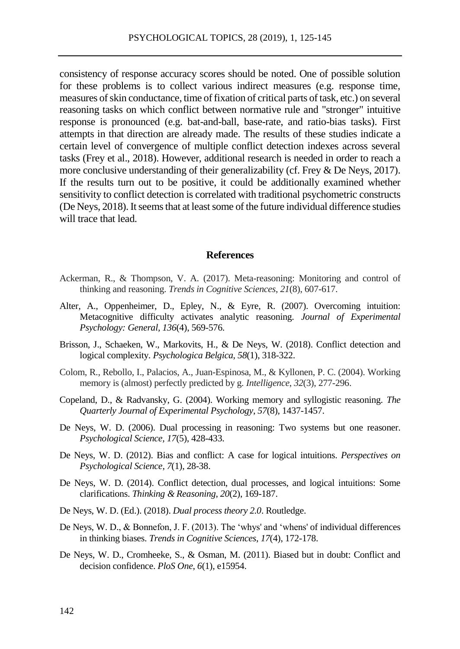consistency of response accuracy scores should be noted. One of possible solution for these problems is to collect various indirect measures (e.g. response time, measures of skin conductance, time of fixation of critical parts of task, etc.) on several reasoning tasks on which conflict between normative rule and "stronger" intuitive response is pronounced (e.g. bat-and-ball, base-rate, and ratio-bias tasks). First attempts in that direction are already made. The results of these studies indicate a certain level of convergence of multiple conflict detection indexes across several tasks (Frey et al., 2018). However, additional research is needed in order to reach a more conclusive understanding of their generalizability (cf. Frey & De Neys, 2017). If the results turn out to be positive, it could be additionally examined whether sensitivity to conflict detection is correlated with traditional psychometric constructs (De Neys, 2018). It seems that at least some of the future individual difference studies will trace that lead.

### **References**

- Ackerman, R., & Thompson, V. A. (2017). Meta-reasoning: Monitoring and control of thinking and reasoning. *Trends in Cognitive Sciences*, *21*(8), 607-617.
- Alter, A., Oppenheimer, D., Epley, N., & Eyre, R. (2007). Overcoming intuition: Metacognitive difficulty activates analytic reasoning. *Journal of Experimental Psychology: General, 136*(4), 569-576.
- Brisson, J., Schaeken, W., Markovits, H., & De Neys, W. (2018). Conflict detection and logical complexity. *Psychologica Belgica*, *58*(1), 318-322.
- Colom, R., Rebollo, I., Palacios, A., Juan-Espinosa, M., & Kyllonen, P. C. (2004). Working memory is (almost) perfectly predicted by g. *Intelligence*, *32*(3), 277-296.
- Copeland, D., & Radvansky, G. (2004). Working memory and syllogistic reasoning. *The Quarterly Journal of Experimental Psychology*, *57*(8), 1437-1457.
- De Neys, W. D. (2006). Dual processing in reasoning: Two systems but one reasoner. *Psychological Science, 17*(5), 428-433.
- De Neys, W. D. (2012). Bias and conflict: A case for logical intuitions. *Perspectives on Psychological Science*, *7*(1), 28-38.
- De Neys, W. D. (2014). Conflict detection, dual processes, and logical intuitions: Some clarifications. *Thinking & Reasoning*, *20*(2), 169-187.
- De Neys, W. D. (Ed.). (2018). *Dual process theory 2.0*. Routledge.
- De Neys, W. D., & Bonnefon, J. F. (2013). The 'whys' and 'whens' of individual differences in thinking biases. *Trends in Cognitive Sciences*, *17*(4), 172-178.
- De Neys, W. D., Cromheeke, S., & Osman, M. (2011). Biased but in doubt: Conflict and decision confidence. *PloS One*, *6*(1), e15954.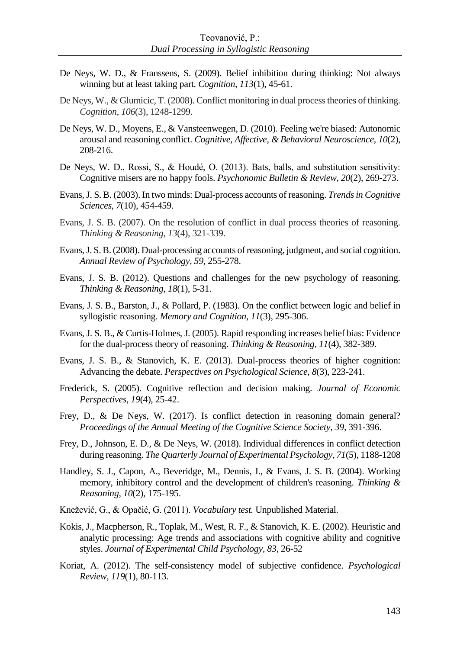- De Neys, W. D., & Franssens, S. (2009). Belief inhibition during thinking: Not always winning but at least taking part. *Cognition*, *113*(1), 45-61.
- De Neys, W., & Glumicic, T. (2008). Conflict monitoring in dual process theories of thinking. *Cognition*, *106*(3), 1248-1299.
- De Neys, W. D., Moyens, E., & Vansteenwegen, D. (2010). Feeling we're biased: Autonomic arousal and reasoning conflict. *Cognitive, Affective, & Behavioral Neuroscience*, *10*(2), 208-216.
- De Neys, W. D., Rossi, S., & Houdé, O. (2013). Bats, balls, and substitution sensitivity: Cognitive misers are no happy fools. *Psychonomic Bulletin & Review*, *20*(2), 269-273.
- Evans, J. S. B. (2003). In two minds: Dual-process accounts of reasoning. *Trends in Cognitive Sciences*, *7*(10), 454-459.
- Evans, J. S. B. (2007). On the resolution of conflict in dual process theories of reasoning. *Thinking & Reasoning*, *13*(4), 321-339.
- Evans, J. S. B. (2008). Dual-processing accounts of reasoning, judgment, and social cognition. *Annual Review of Psychology, 59*, 255-278.
- Evans, J. S. B. (2012). Questions and challenges for the new psychology of reasoning. *Thinking & Reasoning*, *18*(1), 5-31.
- Evans, J. S. B., Barston, J., & Pollard, P. (1983). On the conflict between logic and belief in syllogistic reasoning. *Memory and Cognition*, *11*(3), 295-306.
- Evans, J. S. B., & Curtis-Holmes, J. (2005). Rapid responding increases belief bias: Evidence for the dual-process theory of reasoning. *Thinking & Reasoning, 11*(4), 382-389.
- Evans, J. S. B., & Stanovich, K. E. (2013). Dual-process theories of higher cognition: Advancing the debate. *Perspectives on Psychological Science*, *8*(3), 223-241.
- Frederick, S. (2005). Cognitive reflection and decision making. *Journal of Economic Perspectives*, *19*(4), 25-42.
- Frey, D., & De Neys, W. (2017). Is conflict detection in reasoning domain general? *Proceedings of the Annual Meeting of the Cognitive Science Society, 39*, 391-396.
- Frey, D., Johnson, E. D., & De Neys, W. (2018). Individual differences in conflict detection during reasoning. *The Quarterly Journal of Experimental Psychology, 71*(5), 1188-1208
- Handley, S. J., Capon, A., Beveridge, M., Dennis, I., & Evans, J. S. B. (2004). Working memory, inhibitory control and the development of children's reasoning. *Thinking & Reasoning*, *10*(2), 175-195.
- Knežević, G., & Opačić, G. (2011). *Vocabulary test.* Unpublished Material.
- Kokis, J., Macpherson, R., Toplak, M., West, R. F., & Stanovich, K. E. (2002). Heuristic and analytic processing: Age trends and associations with cognitive ability and cognitive styles. *Journal of Experimental Child Psychology*, *83,* 26-52
- Koriat, A. (2012). The self-consistency model of subjective confidence. *Psychological Review*, *119*(1), 80-113.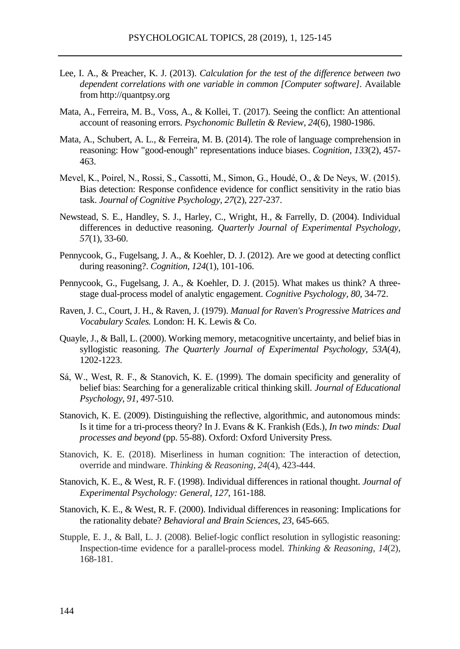- Lee, I. A., & Preacher, K. J. (2013). *Calculation for the test of the difference between two dependent correlations with one variable in common [Computer software].* Available from http://quantpsy.org
- Mata, A., Ferreira, M. B., Voss, A., & Kollei, T. (2017). Seeing the conflict: An attentional account of reasoning errors. *Psychonomic Bulletin & Review, 24*(6), 1980-1986.
- Mata, A., Schubert, A. L., & Ferreira, M. B. (2014). The role of language comprehension in reasoning: How "good-enough" representations induce biases. *Cognition, 133*(2), 457- 463.
- Mevel, K., Poirel, N., Rossi, S., Cassotti, M., Simon, G., Houdé, O., & De Neys, W. (2015). Bias detection: Response confidence evidence for conflict sensitivity in the ratio bias task. *Journal of Cognitive Psychology*, *27*(2), 227-237.
- Newstead, S. E., Handley, S. J., Harley, C., Wright, H., & Farrelly, D. (2004). Individual differences in deductive reasoning. *Quarterly Journal of Experimental Psychology*, *57*(1), 33-60.
- Pennycook, G., Fugelsang, J. A., & Koehler, D. J. (2012). Are we good at detecting conflict during reasoning?. *Cognition*, *124*(1), 101-106.
- Pennycook, G., Fugelsang, J. A., & Koehler, D. J. (2015). What makes us think? A threestage dual-process model of analytic engagement. *Cognitive Psychology, 80*, 34-72.
- Raven, J. C., Court, J. H., & Raven, J. (1979). *Manual for Raven's Progressive Matrices and Vocabulary Scales.* London: H. K. Lewis & Co.
- Quayle, J., & Ball, L. (2000). Working memory, metacognitive uncertainty, and belief bias in syllogistic reasoning. *The Quarterly Journal of Experimental Psychology, 53A*(4)*,* 1202-1223.
- Sá, W., West, R. F., & Stanovich, K. E. (1999). The domain specificity and generality of belief bias: Searching for a generalizable critical thinking skill. *Journal of Educational Psychology*, *91,* 497-510.
- Stanovich, K. E. (2009). Distinguishing the reflective, algorithmic, and autonomous minds: Is it time for a tri-process theory? In J. Evans & K. Frankish (Eds.), *In two minds: Dual processes and beyond* (pp. 55-88). Oxford: Oxford University Press.
- Stanovich, K. E. (2018). Miserliness in human cognition: The interaction of detection, override and mindware. *Thinking & Reasoning*, *24*(4), 423-444.
- Stanovich, K. E., & West, R. F. (1998). Individual differences in rational thought. *Journal of Experimental Psychology: General*, *127*, 161-188.
- Stanovich, K. E., & West, R. F. (2000). Individual differences in reasoning: Implications for the rationality debate? *Behavioral and Brain Sciences*, *23*, 645-665.
- Stupple, E. J., & Ball, L. J. (2008). Belief-logic conflict resolution in syllogistic reasoning: Inspection-time evidence for a parallel-process model. *Thinking & Reasoning*, *14*(2), 168-181.